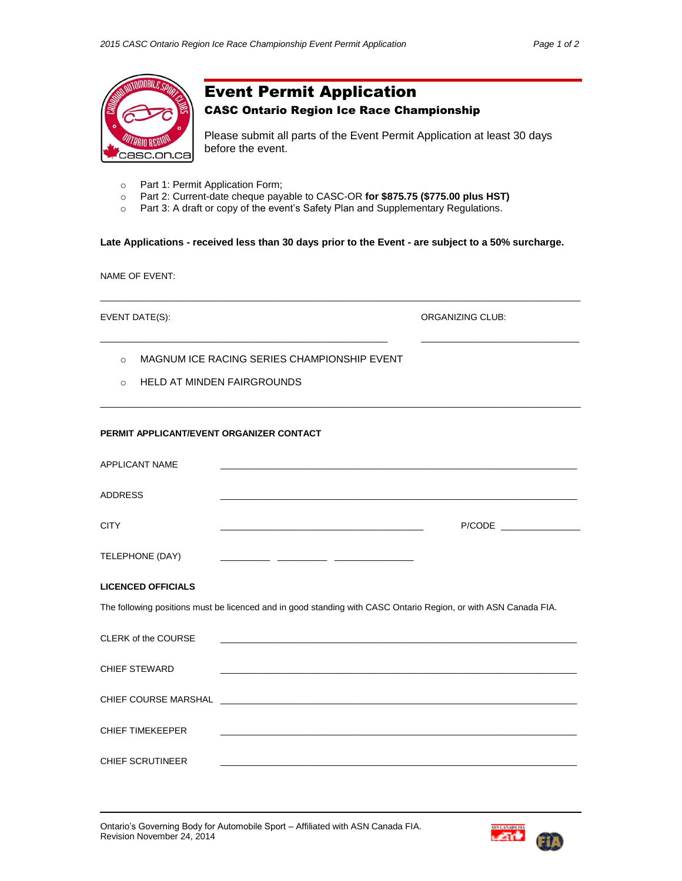

# Event Permit Application

CASC Ontario Region Ice Race Championship

Please submit all parts of the Event Permit Application at least 30 days before the event.

- o Part 1: Permit Application Form;
- o Part 2: Current-date cheque payable to CASC-OR **for \$875.75 (\$775.00 plus HST)**
- o Part 3: A draft or copy of the event's Safety Plan and Supplementary Regulations.

**Late Applications - received less than 30 days prior to the Event - are subject to a 50% surcharge.**

 $\_$  ,  $\_$  ,  $\_$  ,  $\_$  ,  $\_$  ,  $\_$  ,  $\_$  ,  $\_$  ,  $\_$  ,  $\_$  ,  $\_$  ,  $\_$  ,  $\_$  ,  $\_$  ,  $\_$  ,  $\_$  ,  $\_$  ,  $\_$  ,  $\_$  ,  $\_$  ,  $\_$  ,  $\_$  ,  $\_$  ,  $\_$  ,  $\_$  ,  $\_$  ,  $\_$  ,  $\_$  ,  $\_$  ,  $\_$  ,  $\_$  ,  $\_$  ,  $\_$  ,  $\_$  ,  $\_$  ,  $\_$  ,  $\_$  ,

 $\_$  ,  $\_$  ,  $\_$  ,  $\_$  ,  $\_$  ,  $\_$  ,  $\_$  ,  $\_$  ,  $\_$  ,  $\_$  ,  $\_$  ,  $\_$  ,  $\_$  ,  $\_$  ,  $\_$  ,  $\_$  ,  $\_$  ,  $\_$  ,  $\_$  ,  $\_$  ,  $\_$  ,  $\_$  ,  $\_$  ,  $\_$  ,  $\_$  ,  $\_$  ,  $\_$  ,  $\_$  ,  $\_$  ,  $\_$  ,  $\_$  ,  $\_$  ,  $\_$  ,  $\_$  ,  $\_$  ,  $\_$  ,  $\_$  ,

 $\_$  ,  $\_$  ,  $\_$  ,  $\_$  ,  $\_$  ,  $\_$  ,  $\_$  ,  $\_$  ,  $\_$  ,  $\_$  ,  $\_$  ,  $\_$  ,  $\_$  ,  $\_$  ,  $\_$  ,  $\_$  ,  $\_$  ,  $\_$  ,  $\_$  ,  $\_$  ,  $\_$  ,  $\_$  ,  $\_$  ,  $\_$  ,  $\_$  ,  $\_$  ,  $\_$  ,  $\_$  ,  $\_$  ,  $\_$  ,  $\_$  ,  $\_$  ,  $\_$  ,  $\_$  ,  $\_$  ,  $\_$  ,  $\_$  ,

NAME OF EVENT:

EVENT DATE(S): ORGANIZING CLUB:

- o MAGNUM ICE RACING SERIES CHAMPIONSHIP EVENT
- o HELD AT MINDEN FAIRGROUNDS

# **PERMIT APPLICANT/EVENT ORGANIZER CONTACT**

| <b>APPLICANT NAME</b>     | <u> 2001 - Jan Barbarat, president de la construcción de la construcción de la construcción de la construcción d</u>   |  |
|---------------------------|------------------------------------------------------------------------------------------------------------------------|--|
| <b>ADDRESS</b>            |                                                                                                                        |  |
| <b>CITY</b>               | <u> 1989 - Johann John Harry Harry Harry Harry Harry Harry Harry Harry Harry Harry Harry Harry Harry Harry Harry H</u> |  |
| TELEPHONE (DAY)           |                                                                                                                        |  |
| <b>LICENCED OFFICIALS</b> |                                                                                                                        |  |
|                           | The following positions must be licenced and in good standing with CASC Ontario Region, or with ASN Canada FIA.        |  |
| CLERK of the COURSE       | and the control of the control of the control of the control of the control of the control of the control of the       |  |
| <b>CHIEF STEWARD</b>      |                                                                                                                        |  |
|                           |                                                                                                                        |  |
| CHIFF TIMEKEEPER          |                                                                                                                        |  |
| <b>CHIEF SCRUTINEER</b>   | <u> 1989 - Johann Stoff, amerikansk politiker (d. 1989)</u>                                                            |  |